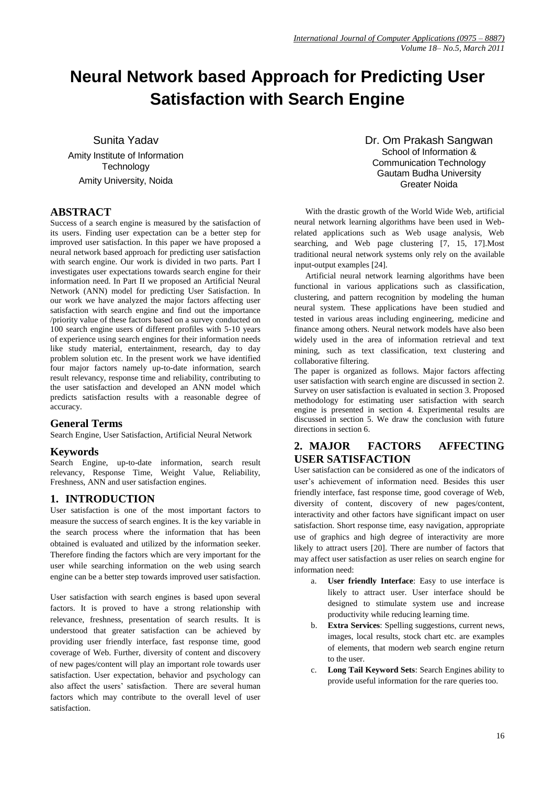# **Neural Network based Approach for Predicting User Satisfaction with Search Engine**

Sunita Yadav Amity Institute of Information **Technology** Amity University, Noida

# **ABSTRACT**

Success of a search engine is measured by the satisfaction of its users. Finding user expectation can be a better step for improved user satisfaction. In this paper we have proposed a neural network based approach for predicting user satisfaction with search engine. Our work is divided in two parts. Part I investigates user expectations towards search engine for their information need. In Part II we proposed an Artificial Neural Network (ANN) model for predicting User Satisfaction. In our work we have analyzed the major factors affecting user satisfaction with search engine and find out the importance /priority value of these factors based on a survey conducted on 100 search engine users of different profiles with 5-10 years of experience using search engines for their information needs like study material, entertainment, research, day to day problem solution etc. In the present work we have identified four major factors namely up-to-date information, search result relevancy, response time and reliability, contributing to the user satisfaction and developed an ANN model which predicts satisfaction results with a reasonable degree of accuracy.

# **General Terms**

Search Engine, User Satisfaction, Artificial Neural Network

# **Keywords**

Search Engine, up-to-date information, search result relevancy, Response Time, Weight Value, Reliability, Freshness, ANN and user satisfaction engines.

# **1. INTRODUCTION**

User satisfaction is one of the most important factors to measure the success of search engines. It is the key variable in the search process where the information that has been obtained is evaluated and utilized by the information seeker. Therefore finding the factors which are very important for the user while searching information on the web using search engine can be a better step towards improved user satisfaction.

User satisfaction with search engines is based upon several factors. It is proved to have a strong relationship with relevance, freshness, presentation of search results. It is understood that greater satisfaction can be achieved by providing user friendly interface, fast response time, good coverage of Web. Further, diversity of content and discovery of new pages/content will play an important role towards user satisfaction. User expectation, behavior and psychology can also affect the users' satisfaction. There are several human factors which may contribute to the overall level of user satisfaction.

Dr. Om Prakash Sangwan School of Information & Communication Technology Gautam Budha University Greater Noida

With the drastic growth of the World Wide Web, artificial neural network learning algorithms have been used in Webrelated applications such as Web usage analysis, Web searching, and Web page clustering [7, 15, 17]. Most traditional neural network systems only rely on the available input-output examples [24].

Artificial neural network learning algorithms have been functional in various applications such as classification, clustering, and pattern recognition by modeling the human neural system. These applications have been studied and tested in various areas including engineering, medicine and finance among others. Neural network models have also been widely used in the area of information retrieval and text mining, such as text classification, text clustering and collaborative filtering.

The paper is organized as follows. Major factors affecting user satisfaction with search engine are discussed in section 2. Survey on user satisfaction is evaluated in section 3. Proposed methodology for estimating user satisfaction with search engine is presented in section 4. Experimental results are discussed in section 5. We draw the conclusion with future directions in section 6.

# **2. MAJOR FACTORS AFFECTING USER SATISFACTION**

User satisfaction can be considered as one of the indicators of user's achievement of information need. Besides this user friendly interface, fast response time, good coverage of Web, diversity of content, discovery of new pages/content, interactivity and other factors have significant impact on user satisfaction. Short response time, easy navigation, appropriate use of graphics and high degree of interactivity are more likely to attract users [20]. There are number of factors that may affect user satisfaction as user relies on search engine for information need:

- a. **User friendly Interface**: Easy to use interface is likely to attract user. User interface should be designed to stimulate system use and increase productivity while reducing learning time.
- b. **Extra Services**: Spelling suggestions, current news, images, local results, stock chart etc. are examples of elements, that modern web search engine return to the user.
- c. **Long Tail Keyword Sets**: Search Engines ability to provide useful information for the rare queries too.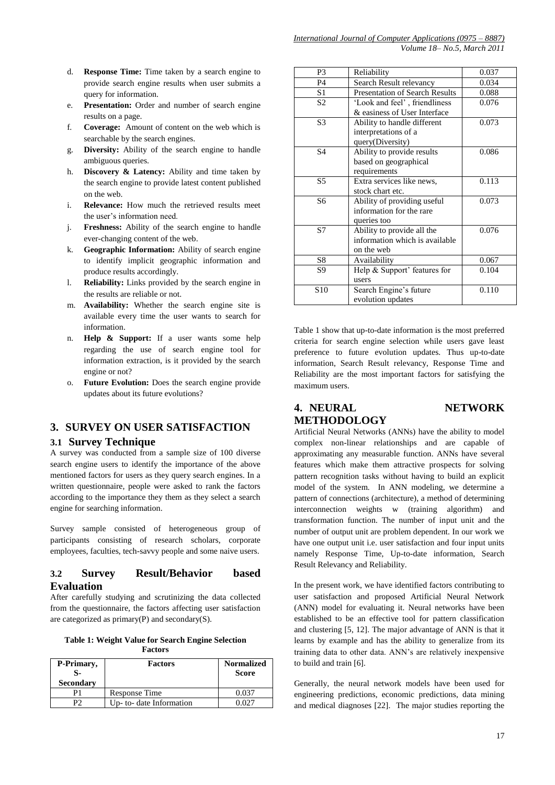- d. **Response Time:** Time taken by a search engine to provide search engine results when user submits a query for information.
- e. **Presentation:** Order and number of search engine results on a page.
- f. **Coverage:** Amount of content on the web which is searchable by the search engines.
- g. **Diversity:** Ability of the search engine to handle ambiguous queries.
- h. **Discovery & Latency:** Ability and time taken by the search engine to provide latest content published on the web.
- i. **Relevance:** How much the retrieved results meet the user's information need.
- j. **Freshness:** Ability of the search engine to handle ever-changing content of the web.
- k. **Geographic Information:** Ability of search engine to identify implicit geographic information and produce results accordingly.
- l. **Reliability:** Links provided by the search engine in the results are reliable or not.
- m. **Availability:** Whether the search engine site is available every time the user wants to search for information.
- n. **Help & Support:** If a user wants some help regarding the use of search engine tool for information extraction, is it provided by the search engine or not?
- o. **Future Evolution:** Does the search engine provide updates about its future evolutions?

# **3. SURVEY ON USER SATISFACTION**

### **3.1 Survey Technique**

A survey was conducted from a sample size of 100 diverse search engine users to identify the importance of the above mentioned factors for users as they query search engines. In a written questionnaire, people were asked to rank the factors according to the importance they them as they select a search engine for searching information.

Survey sample consisted of heterogeneous group of participants consisting of research scholars, corporate employees, faculties, tech-savvy people and some naive users.

# **3.2 Survey Result/Behavior based Evaluation**

After carefully studying and scrutinizing the data collected from the questionnaire, the factors affecting user satisfaction are categorized as primary(P) and secondary(S).

**Table 1: Weight Value for Search Engine Selection Factors**

| P-Primary,<br><b>Secondary</b> | <b>Factors</b>           | <b>Normalized</b><br><b>Score</b> |
|--------------------------------|--------------------------|-----------------------------------|
|                                | Response Time            | በ በ37                             |
|                                | Up- to- date Information |                                   |

| P3              | Reliability                           | 0.037 |
|-----------------|---------------------------------------|-------|
| <b>P4</b>       | Search Result relevancy               | 0.034 |
| S1              | <b>Presentation of Search Results</b> | 0.088 |
| S <sub>2</sub>  | 'Look and feel', friendliness         | 0.076 |
|                 | & easiness of User Interface          |       |
| S <sub>3</sub>  | Ability to handle different           | 0.073 |
|                 | interpretations of a                  |       |
|                 | query(Diversity)                      |       |
| S <sub>4</sub>  | Ability to provide results            | 0.086 |
|                 | based on geographical                 |       |
|                 | requirements                          |       |
| S <sub>5</sub>  | Extra services like news,             | 0.113 |
|                 | stock chart etc.                      |       |
| S6              | Ability of providing useful           | 0.073 |
|                 | information for the rare              |       |
|                 | queries too                           |       |
| S7              | Ability to provide all the            | 0.076 |
|                 | information which is available        |       |
|                 | on the web                            |       |
| S8              | Availability                          | 0.067 |
| S9              | Help & Support' features for          | 0.104 |
|                 | users                                 |       |
| S <sub>10</sub> | Search Engine's future                | 0.110 |
|                 | evolution updates                     |       |

Table 1 show that up-to-date information is the most preferred criteria for search engine selection while users gave least preference to future evolution updates. Thus up-to-date information, Search Result relevancy, Response Time and Reliability are the most important factors for satisfying the maximum users.

# **4. NEURAL NETWORK METHODOLOGY**

Artificial Neural Networks (ANNs) have the ability to model complex non-linear relationships and are capable of approximating any measurable function. ANNs have several features which make them attractive prospects for solving pattern recognition tasks without having to build an explicit model of the system. In ANN modeling, we determine a pattern of connections (architecture), a method of determining interconnection weights w (training algorithm) and transformation function. The number of input unit and the number of output unit are problem dependent. In our work we have one output unit i.e. user satisfaction and four input units namely Response Time, Up-to-date information, Search Result Relevancy and Reliability.

In the present work, we have identified factors contributing to user satisfaction and proposed Artificial Neural Network (ANN) model for evaluating it. Neural networks have been established to be an effective tool for pattern classification and clustering [5, 12]. The major advantage of ANN is that it learns by example and has the ability to generalize from its training data to other data. ANN's are relatively inexpensive to build and train [6].

Generally, the neural network models have been used for engineering predictions, economic predictions, data mining and medical diagnoses [22]. The major studies reporting the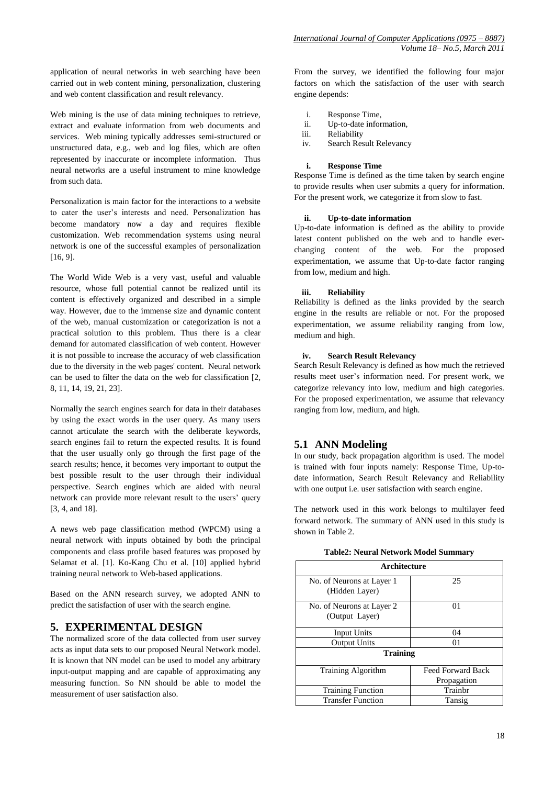application of neural networks in web searching have been carried out in web content mining, personalization, clustering and web content classification and result relevancy.

Web mining is the use of data mining techniques to retrieve, extract and evaluate information from web documents and services. Web mining typically addresses semi-structured or unstructured data, e.g., web and log files, which are often represented by inaccurate or incomplete information. Thus neural networks are a useful instrument to mine knowledge from such data.

Personalization is main factor for the interactions to a website to cater the user's interests and need. Personalization has become mandatory now a day and requires flexible customization. Web recommendation systems using neural network is one of the successful examples of personalization [16, 9].

The World Wide Web is a very vast, useful and valuable resource, whose full potential cannot be realized until its content is effectively organized and described in a simple way. However, due to the immense size and dynamic content of the web, manual customization or categorization is not a practical solution to this problem. Thus there is a clear demand for automated classification of web content. However it is not possible to increase the accuracy of web classification due to the diversity in the web pages' content. Neural network can be used to filter the data on the web for classification [2, 8, 11, 14, 19, 21, 23].

Normally the search engines search for data in their databases by using the exact words in the user query. As many users cannot articulate the search with the deliberate keywords, search engines fail to return the expected results. It is found that the user usually only go through the first page of the search results; hence, it becomes very important to output the best possible result to the user through their individual perspective. Search engines which are aided with neural network can provide more relevant result to the users' query [3, 4, and 18].

A news web page classification method (WPCM) using a neural network with inputs obtained by both the principal components and class profile based features was proposed by Selamat et al. [1]. Ko-Kang Chu et al. [10] applied hybrid training neural network to Web-based applications.

Based on the ANN research survey, we adopted ANN to predict the satisfaction of user with the search engine.

# **5. EXPERIMENTAL DESIGN**

The normalized score of the data collected from user survey acts as input data sets to our proposed Neural Network model. It is known that NN model can be used to model any arbitrary input-output mapping and are capable of approximating any measuring function. So NN should be able to model the measurement of user satisfaction also.

From the survey, we identified the following four major factors on which the satisfaction of the user with search engine depends:

- i. Response Time,
- ii. Up-to-date information,
- iii. Reliability
- iv. Search Result Relevancy

#### **i. Response Time**

Response Time is defined as the time taken by search engine to provide results when user submits a query for information. For the present work, we categorize it from slow to fast.

#### **ii. Up-to-date information**

Up-to-date information is defined as the ability to provide latest content published on the web and to handle everchanging content of the web. For the proposed experimentation, we assume that Up-to-date factor ranging from low, medium and high.

#### **iii. Reliability**

Reliability is defined as the links provided by the search engine in the results are reliable or not. For the proposed experimentation, we assume reliability ranging from low, medium and high.

#### **iv. Search Result Relevancy**

Search Result Relevancy is defined as how much the retrieved results meet user's information need. For present work, we categorize relevancy into low, medium and high categories. For the proposed experimentation, we assume that relevancy ranging from low, medium, and high.

# **5.1 ANN Modeling**

In our study, back propagation algorithm is used. The model is trained with four inputs namely: Response Time, Up-todate information, Search Result Relevancy and Reliability with one output i.e. user satisfaction with search engine.

The network used in this work belongs to multilayer feed forward network. The summary of ANN used in this study is shown in Table 2.

|  |  | Table2: Neural Network Model Summary |  |
|--|--|--------------------------------------|--|
|--|--|--------------------------------------|--|

| <b>Architecture</b>       |                   |  |  |
|---------------------------|-------------------|--|--|
| No. of Neurons at Layer 1 | 25                |  |  |
| (Hidden Layer)            |                   |  |  |
| No. of Neurons at Layer 2 | 01                |  |  |
| (Output Layer)            |                   |  |  |
| Input Units               | 04                |  |  |
| <b>Output Units</b>       | 01                |  |  |
| <b>Training</b>           |                   |  |  |
| Training Algorithm        | Feed Forward Back |  |  |
|                           | Propagation       |  |  |
| <b>Training Function</b>  | Trainbr           |  |  |
| <b>Transfer Function</b>  | Tansig            |  |  |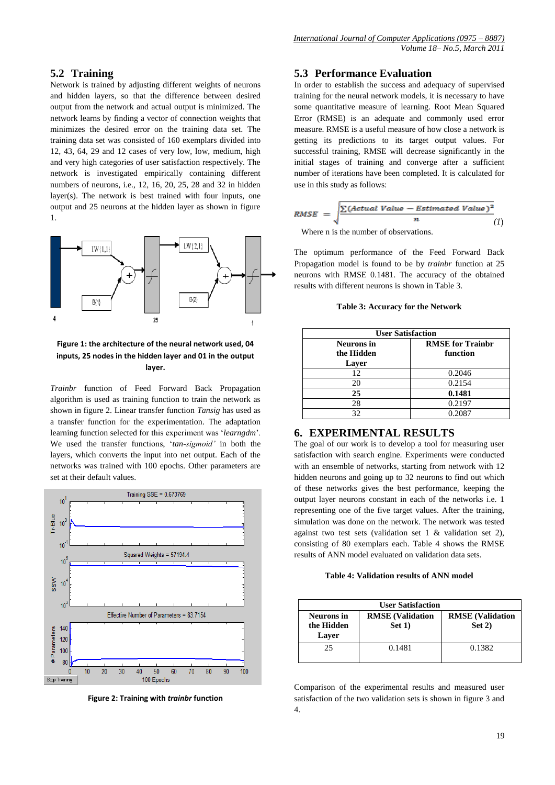# **5.2 Training**

Network is trained by adjusting different weights of neurons and hidden layers, so that the difference between desired output from the network and actual output is minimized. The network learns by finding a vector of connection weights that minimizes the desired error on the training data set. The training data set was consisted of 160 exemplars divided into 12, 43, 64, 29 and 12 cases of very low, low, medium, high and very high categories of user satisfaction respectively. The network is investigated empirically containing different numbers of neurons, i.e., 12, 16, 20, 25, 28 and 32 in hidden layer(s). The network is best trained with four inputs, one output and 25 neurons at the hidden layer as shown in figure 1.



## **Figure 1: the architecture of the neural network used, 04 inputs, 25 nodes in the hidden layer and 01 in the output layer.**

*Trainbr* function of Feed Forward Back Propagation algorithm is used as training function to train the network as shown in figure 2. Linear transfer function *Tansig* has used as a transfer function for the experimentation. The adaptation learning function selected for this experiment was ‗*learngdm*'. We used the transfer functions, 'tan-sigmoid' in both the layers, which converts the input into net output. Each of the networks was trained with 100 epochs. Other parameters are set at their default values.



**Figure 2: Training with** *trainbr* **function**

# **5.3 Performance Evaluation**

In order to establish the success and adequacy of supervised training for the neural network models, it is necessary to have some quantitative measure of learning. Root Mean Squared Error (RMSE) is an adequate and commonly used error measure. RMSE is a useful measure of how close a network is getting its predictions to its target output values. For successful training, RMSE will decrease significantly in the initial stages of training and converge after a sufficient number of iterations have been completed. It is calculated for use in this study as follows:

$$
RMSE = \sqrt{\frac{\sum (Actual Value - Estimated Value)^2}{n}}
$$
 (1)

Where n is the number of observations.

The optimum performance of the Feed Forward Back Propagation model is found to be by *trainbr* function at 25 neurons with RMSE 0.1481. The accuracy of the obtained results with different neurons is shown in Table 3.

**Table 3: Accuracy for the Network**

| <b>User Satisfaction</b>                 |                                     |  |
|------------------------------------------|-------------------------------------|--|
| <b>Neurons</b> in<br>the Hidden<br>Laver | <b>RMSE</b> for Trainbr<br>function |  |
| 12                                       | 0.2046                              |  |
| 20                                       | 0.2154                              |  |
| 25                                       | 0.1481                              |  |
| 28                                       | 0.2197                              |  |
| 32                                       | 0.2087                              |  |

# **6. EXPERIMENTAL RESULTS**

The goal of our work is to develop a tool for measuring user satisfaction with search engine. Experiments were conducted with an ensemble of networks, starting from network with 12 hidden neurons and going up to 32 neurons to find out which of these networks gives the best performance, keeping the output layer neurons constant in each of the networks i.e. 1 representing one of the five target values. After the training, simulation was done on the network. The network was tested against two test sets (validation set 1 & validation set 2), consisting of 80 exemplars each. Table 4 shows the RMSE results of ANN model evaluated on validation data sets.

**Table 4: Validation results of ANN model**

| <b>User Satisfaction</b>          |                                  |                                  |  |
|-----------------------------------|----------------------------------|----------------------------------|--|
| Neurons in<br>the Hidden<br>Laver | <b>RMSE</b> (Validation<br>Set 1 | <b>RMSE</b> (Validation<br>Set 2 |  |
| 25                                | 0.1481                           | 0.1382                           |  |

Comparison of the experimental results and measured user satisfaction of the two validation sets is shown in figure 3 and 4.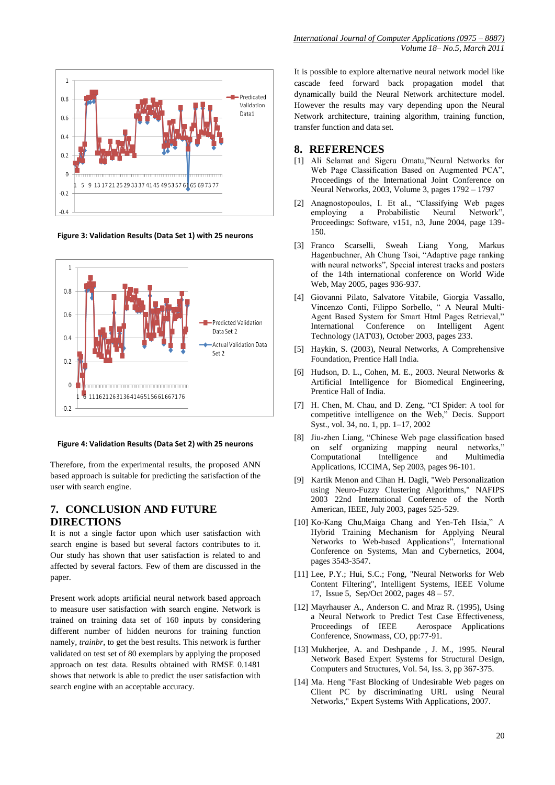

**Figure 3: Validation Results (Data Set 1) with 25 neurons**



**Figure 4: Validation Results (Data Set 2) with 25 neurons**

Therefore, from the experimental results, the proposed ANN based approach is suitable for predicting the satisfaction of the user with search engine.

# **7. CONCLUSION AND FUTURE DIRECTIONS**

It is not a single factor upon which user satisfaction with search engine is based but several factors contributes to it. Our study has shown that user satisfaction is related to and affected by several factors. Few of them are discussed in the paper.

Present work adopts artificial neural network based approach to measure user satisfaction with search engine. Network is trained on training data set of 160 inputs by considering different number of hidden neurons for training function namely*, trainbr*, to get the best results. This network is further validated on test set of 80 exemplars by applying the proposed approach on test data. Results obtained with RMSE 0.1481 shows that network is able to predict the user satisfaction with search engine with an acceptable accuracy.

It is possible to explore alternative neural network model like cascade feed forward back propagation model that dynamically build the Neural Network architecture model. However the results may vary depending upon the Neural Network architecture, training algorithm, training function, transfer function and data set.

# **8. REFERENCES**

- [1] Ali Selamat and Sigeru Omatu,"Neural Networks for Web Page Classification Based on Augmented PCA". Proceedings of the International Joint Conference on Neural Networks, 2003, Volume 3, pages 1792 – 1797
- [2] Anagnostopoulos, I. Et al., "Classifying Web pages employing a Probabilistic Neural Network" Proceedings: Software, v151, n3, June 2004, page 139- 150.
- [3] Franco Scarselli, Sweah Liang Yong, Markus Hagenbuchner, Ah Chung Tsoi, "Adaptive page ranking with neural networks", Special interest tracks and posters of the 14th international conference on World Wide Web, May 2005, pages 936-937.
- [4] Giovanni Pilato, Salvatore Vitabile, Giorgia Vassallo, Vincenzo Conti, Filippo Sorbello, " A Neural Multi-Agent Based System for Smart Html Pages Retrieval," International Conference on Intelligent Agent Technology (IAT'03), October 2003, pages 233.
- [5] Haykin, S. (2003), Neural Networks, A Comprehensive Foundation, Prentice Hall India.
- [6] Hudson, D. L., Cohen, M. E., 2003. Neural Networks & Artificial Intelligence for Biomedical Engineering, Prentice Hall of India.
- [7] H. Chen, M. Chau, and D. Zeng, "CI Spider: A tool for competitive intelligence on the Web," Decis. Support Syst., vol. 34, no. 1, pp. 1–17, 2002
- [8] Jiu-zhen Liang, "Chinese Web page classification based on self organizing mapping neural networks," Computational Intelligence and Multimedia Applications, ICCIMA, Sep 2003, pages 96-101.
- [9] Kartik Menon and Cihan H. Dagli, "Web Personalization using Neuro-Fuzzy Clustering Algorithms," NAFIPS 2003 22nd International Conference of the North American, IEEE, July 2003, pages 525-529.
- [10] Ko-Kang Chu, Maiga Chang and Yen-Teh Hsia," A Hybrid Training Mechanism for Applying Neural Networks to Web-based Applications", International Conference on Systems, Man and Cybernetics, 2004, pages 3543-3547.
- [11] Lee, P.Y.; Hui, S.C.; Fong, "Neural Networks for Web Content Filtering", Intelligent Systems, IEEE Volume 17, Issue 5, Sep/Oct 2002, pages 48 – 57.
- [12] Mayrhauser A., Anderson C. and Mraz R. (1995), Using a Neural Network to Predict Test Case Effectiveness,<br>Proceedings of IEEE Aerospace Applications Aerospace Applications Conference, Snowmass, CO, pp:77-91.
- [13] Mukherjee, A. and Deshpande, J. M., 1995. Neural Network Based Expert Systems for Structural Design, Computers and Structures, Vol. 54, Iss. 3, pp 367-375.
- [14] Ma. Heng "Fast Blocking of Undesirable Web pages on Client PC by discriminating URL using Neural Networks," Expert Systems With Applications, 2007.